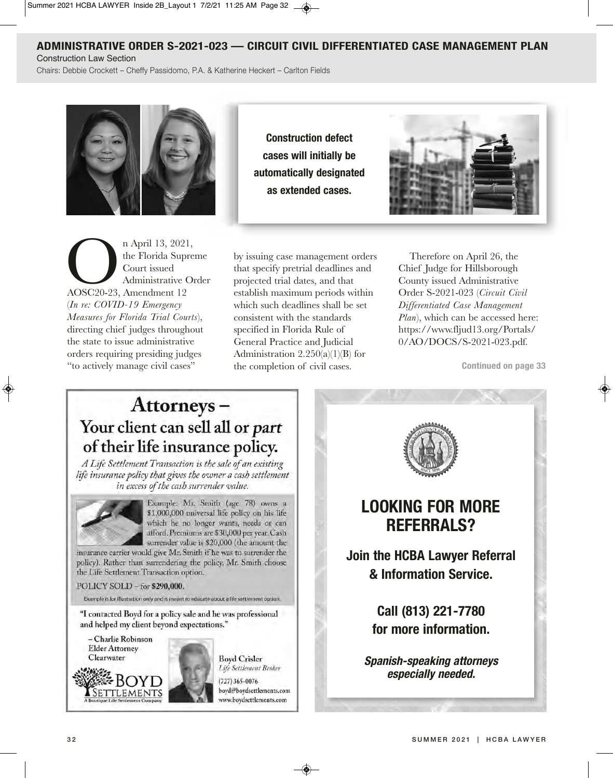## **aDMiniStrative orDer S-2021-023 — circuit civiL DifferentiateD caSe ManageMent PLan**

Construction law Section

Chairs: Debbie Crockett - Cheffy Passidomo, P.A. & Katherine Heckert - Carlton Fields



n April 13, 2021,<br>
the Florida Supre<br>
Court issued<br>
Administrative Or<br>
AOSC20-23, Amendment 12 the Florida Supreme Court issued Administrative Order (*In re: COVID-19 Emergency Measures for Florida Trial Courts*), directing chief judges throughout the state to issue administrative orders requiring presiding judges "to actively manage civil cases"

**construction defect cases will initially be automatically designated as extended cases.**



by issuing case management orders that specify pretrial deadlines and projected trial dates, and that establish maximum periods within which such deadlines shall be set consistent with the standards specified in Florida Rule of General Practice and Judicial Administration  $2.250(a)(1)(B)$  for the completion of civil cases.

Therefore on April 26, the Chief Judge for Hillsborough County issued Administrative Order S-2021-023 (*Circuit Civil Differentiated Case Management Plan*), which can be accessed here: https://www.fljud13.org/Portals/ 0/AO/DOCS/S-2021-023.pdf.

**continued on page 33**

# Attorneys-Your client can sell all or part of their life insurance policy.

A Life Settlement Transaction is the sale of an existing life insurance policy that gives the owner a cash settlement in excess of the cash surrender value.



Example: Mr. Smith (age 78) owns a \$1,000,000 universal life policy on his life which he no longer wants, needs or can afford. Premiums are \$30,000 per year. Cash surrender value is \$20,000 (the amount the

insurance carrier would give Mr. Smith if he was to surrender the policy). Rather than surrendering the policy, Mr. Smith choose the Life Settlement Transaction option.

POLICY SOLD - for \$290,000.

Example is for illustration only and is meant to educate about a life settlement option.

"I contacted Boyd for a policy sale and he was professional and helped my client beyond expectations."





**Boyd Crisler** Life Settlement Broker

 $(727)$  365-0076 boyd@boydsettlements.com www.boydsettlements.com